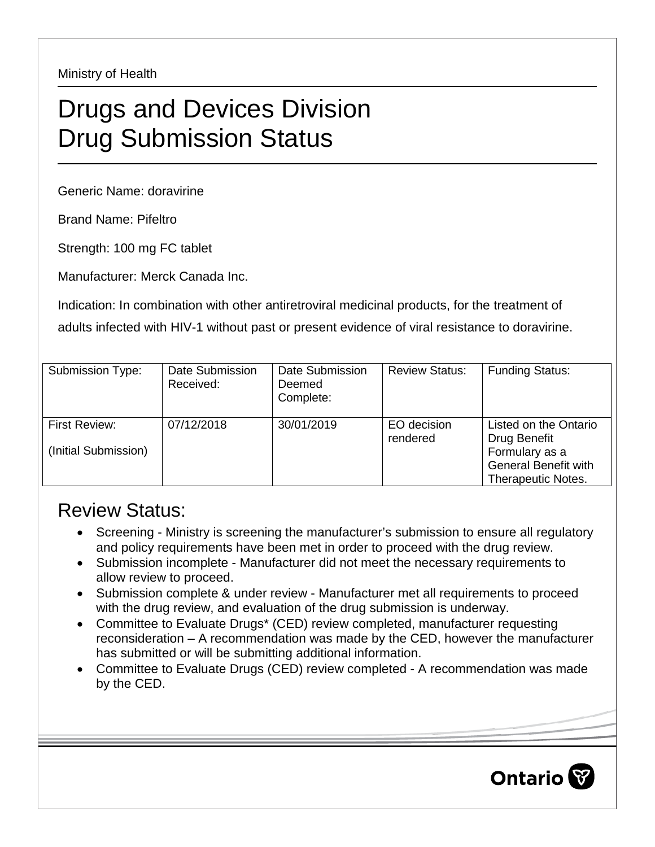Ministry of Health

## Drugs and Devices Division Drug Submission Status

Generic Name: doravirine

Brand Name: Pifeltro

Strength: 100 mg FC tablet

Manufacturer: Merck Canada Inc.

Indication: In combination with other antiretroviral medicinal products, for the treatment of adults infected with HIV-1 without past or present evidence of viral resistance to doravirine.

| Submission Type:                      | Date Submission<br>Received: | Date Submission<br>Deemed<br>Complete: | <b>Review Status:</b>   | <b>Funding Status:</b>                                                                                              |
|---------------------------------------|------------------------------|----------------------------------------|-------------------------|---------------------------------------------------------------------------------------------------------------------|
| First Review:<br>(Initial Submission) | 07/12/2018                   | 30/01/2019                             | EO decision<br>rendered | Listed on the Ontario<br>Drug Benefit<br>Formulary as a<br><b>General Benefit with</b><br><b>Therapeutic Notes.</b> |

## Review Status:

- Screening Ministry is screening the manufacturer's submission to ensure all regulatory and policy requirements have been met in order to proceed with the drug review.
- Submission incomplete Manufacturer did not meet the necessary requirements to allow review to proceed.
- Submission complete & under review Manufacturer met all requirements to proceed with the drug review, and evaluation of the drug submission is underway.
- Committee to Evaluate Drugs\* (CED) review completed, manufacturer requesting reconsideration – A recommendation was made by the CED, however the manufacturer has submitted or will be submitting additional information.
- Committee to Evaluate Drugs (CED) review completed A recommendation was made by the CED.